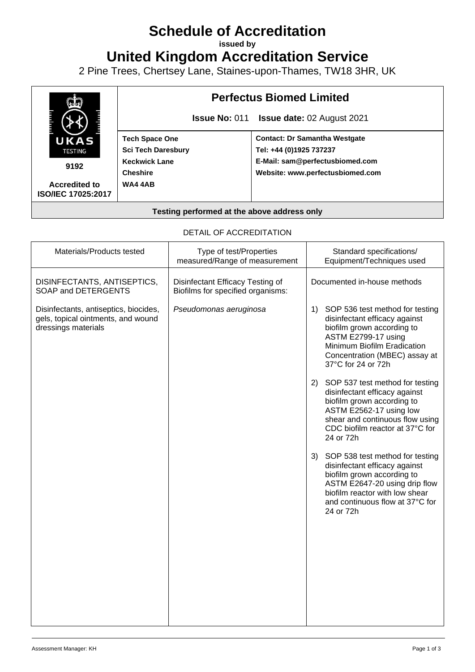# **Schedule of Accreditation**

**issued by**

**United Kingdom Accreditation Service**

2 Pine Trees, Chertsey Lane, Staines-upon-Thames, TW18 3HR, UK



#### DETAIL OF ACCREDITATION

| Materials/Products tested                                                                          | Type of test/Properties<br>measured/Range of measurement              | Standard specifications/<br>Equipment/Techniques used                                                                                                                                                                |
|----------------------------------------------------------------------------------------------------|-----------------------------------------------------------------------|----------------------------------------------------------------------------------------------------------------------------------------------------------------------------------------------------------------------|
| DISINFECTANTS, ANTISEPTICS,<br>SOAP and DETERGENTS                                                 | Disinfectant Efficacy Testing of<br>Biofilms for specified organisms: | Documented in-house methods                                                                                                                                                                                          |
| Disinfectants, antiseptics, biocides,<br>gels, topical ointments, and wound<br>dressings materials | Pseudomonas aeruginosa                                                | 1) SOP 536 test method for testing<br>disinfectant efficacy against<br>biofilm grown according to<br>ASTM E2799-17 using<br>Minimum Biofilm Eradication<br>Concentration (MBEC) assay at<br>37°C for 24 or 72h       |
|                                                                                                    |                                                                       | 2) SOP 537 test method for testing<br>disinfectant efficacy against<br>biofilm grown according to<br>ASTM E2562-17 using low<br>shear and continuous flow using<br>CDC biofilm reactor at 37°C for<br>24 or 72h      |
|                                                                                                    |                                                                       | 3) SOP 538 test method for testing<br>disinfectant efficacy against<br>biofilm grown according to<br>ASTM E2647-20 using drip flow<br>biofilm reactor with low shear<br>and continuous flow at 37°C for<br>24 or 72h |
|                                                                                                    |                                                                       |                                                                                                                                                                                                                      |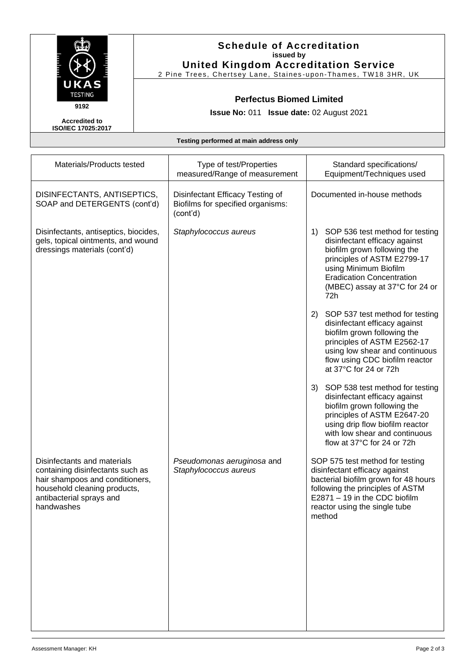

## **Schedule of Accreditation issued by United Kingdom Accreditation Service**

2 Pine Trees, Chertsey Lane, Staines -upon-Thames, TW18 3HR, UK

#### **Perfectus Biomed Limited**

**Issue No:** 011 **Issue date:** 02 August 2021

**Accredited to ISO/IEC 17025:2017**

#### **Testing performed at main address only**

| Materials/Products tested                                                                                                                                                    | Type of test/Properties<br>measured/Range of measurement                          | Standard specifications/<br>Equipment/Techniques used                                                                                                                                                                                      |
|------------------------------------------------------------------------------------------------------------------------------------------------------------------------------|-----------------------------------------------------------------------------------|--------------------------------------------------------------------------------------------------------------------------------------------------------------------------------------------------------------------------------------------|
| DISINFECTANTS, ANTISEPTICS,<br>SOAP and DETERGENTS (cont'd)                                                                                                                  | Disinfectant Efficacy Testing of<br>Biofilms for specified organisms:<br>(cont'd) | Documented in-house methods                                                                                                                                                                                                                |
| Disinfectants, antiseptics, biocides,<br>gels, topical ointments, and wound<br>dressings materials (cont'd)                                                                  | Staphylococcus aureus                                                             | SOP 536 test method for testing<br>1)<br>disinfectant efficacy against<br>biofilm grown following the<br>principles of ASTM E2799-17<br>using Minimum Biofilm<br><b>Eradication Concentration</b><br>(MBEC) assay at 37°C for 24 or<br>72h |
|                                                                                                                                                                              |                                                                                   | 2) SOP 537 test method for testing<br>disinfectant efficacy against<br>biofilm grown following the<br>principles of ASTM E2562-17<br>using low shear and continuous<br>flow using CDC biofilm reactor<br>at 37°C for 24 or 72h             |
|                                                                                                                                                                              |                                                                                   | 3)<br>SOP 538 test method for testing<br>disinfectant efficacy against<br>biofilm grown following the<br>principles of ASTM E2647-20<br>using drip flow biofilm reactor<br>with low shear and continuous<br>flow at 37°C for 24 or 72h     |
| Disinfectants and materials<br>containing disinfectants such as<br>hair shampoos and conditioners,<br>household cleaning products,<br>antibacterial sprays and<br>handwashes | Pseudomonas aeruginosa and<br>Staphylococcus aureus                               | SOP 575 test method for testing<br>disinfectant efficacy against<br>bacterial biofilm grown for 48 hours<br>following the principles of ASTM<br>E2871 - 19 in the CDC biofilm<br>reactor using the single tube<br>method                   |
|                                                                                                                                                                              |                                                                                   |                                                                                                                                                                                                                                            |